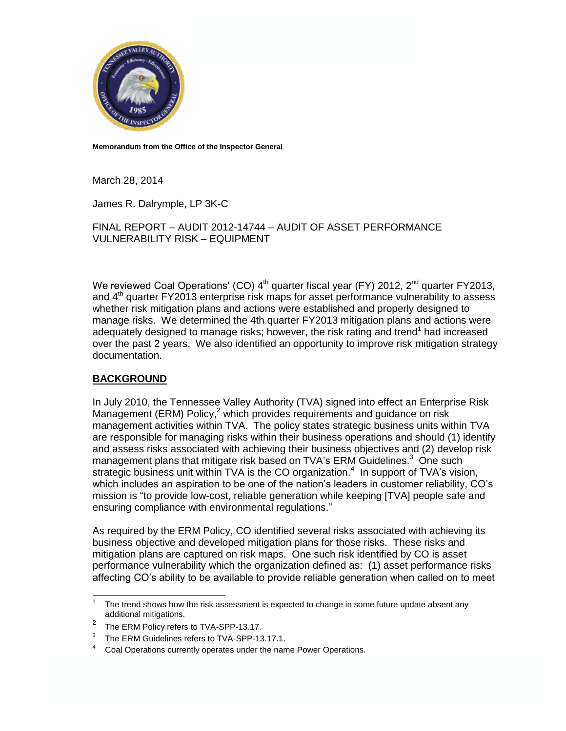

**Memorandum from the Office of the Inspector General**

March 28, 2014

James R. Dalrymple, LP 3K-C

FINAL REPORT – AUDIT 2012-14744 – AUDIT OF ASSET PERFORMANCE VULNERABILITY RISK – EQUIPMENT

We reviewed Coal Operations' (CO) 4<sup>th</sup> quarter fiscal year (FY) 2012, 2<sup>nd</sup> quarter FY2013, and  $4<sup>th</sup>$  quarter FY2013 enterprise risk maps for asset performance vulnerability to assess whether risk mitigation plans and actions were established and properly designed to manage risks. We determined the 4th quarter FY2013 mitigation plans and actions were adequately designed to manage risks; however, the risk rating and trend<sup>1</sup> had increased over the past 2 years. We also identified an opportunity to improve risk mitigation strategy documentation.

## **BACKGROUND**

 $\overline{a}$ 

In July 2010, the Tennessee Valley Authority (TVA) signed into effect an Enterprise Risk Management (ERM) Policy,<sup>2</sup> which provides requirements and guidance on risk management activities within TVA. The policy states strategic business units within TVA are responsible for managing risks within their business operations and should (1) identify and assess risks associated with achieving their business objectives and (2) develop risk management plans that mitigate risk based on TVA's ERM Guidelines.<sup>3</sup> One such strategic business unit within TVA is the CO organization.<sup>4</sup> In support of TVA's vision, which includes an aspiration to be one of the nation's leaders in customer reliability, CO's mission is "to provide low-cost, reliable generation while keeping [TVA] people safe and ensuring compliance with environmental regulations."

As required by the ERM Policy, CO identified several risks associated with achieving its business objective and developed mitigation plans for those risks. These risks and mitigation plans are captured on risk maps. One such risk identified by CO is asset performance vulnerability which the organization defined as: (1) asset performance risks affecting CO's ability to be available to provide reliable generation when called on to meet

<sup>1</sup> The trend shows how the risk assessment is expected to change in some future update absent any additional mitigations.

<sup>2</sup> The ERM Policy refers to TVA-SPP-13.17.

<sup>3</sup> The ERM Guidelines refers to TVA-SPP-13.17.1.

Coal Operations currently operates under the name Power Operations.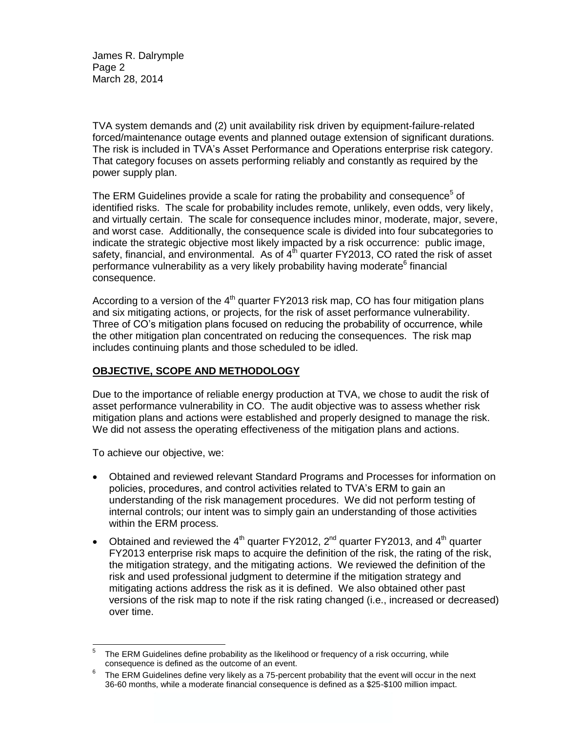James R. Dalrymple Page 2 March 28, 2014

TVA system demands and (2) unit availability risk driven by equipment-failure-related forced/maintenance outage events and planned outage extension of significant durations. The risk is included in TVA's Asset Performance and Operations enterprise risk category. That category focuses on assets performing reliably and constantly as required by the power supply plan.

The ERM Guidelines provide a scale for rating the probability and consequence<sup>5</sup> of identified risks. The scale for probability includes remote, unlikely, even odds, very likely, and virtually certain. The scale for consequence includes minor, moderate, major, severe, and worst case. Additionally, the consequence scale is divided into four subcategories to indicate the strategic objective most likely impacted by a risk occurrence: public image, safety, financial, and environmental. As of  $4<sup>th</sup>$  quarter FY2013, CO rated the risk of asset performance vulnerability as a very likely probability having moderate<sup>6</sup> financial consequence.

According to a version of the  $4<sup>th</sup>$  quarter FY2013 risk map, CO has four mitigation plans and six mitigating actions, or projects, for the risk of asset performance vulnerability. Three of CO's mitigation plans focused on reducing the probability of occurrence, while the other mitigation plan concentrated on reducing the consequences. The risk map includes continuing plants and those scheduled to be idled.

## **OBJECTIVE, SCOPE AND METHODOLOGY**

Due to the importance of reliable energy production at TVA, we chose to audit the risk of asset performance vulnerability in CO. The audit objective was to assess whether risk mitigation plans and actions were established and properly designed to manage the risk. We did not assess the operating effectiveness of the mitigation plans and actions.

To achieve our objective, we:

- Obtained and reviewed relevant Standard Programs and Processes for information on policies, procedures, and control activities related to TVA's ERM to gain an understanding of the risk management procedures. We did not perform testing of internal controls; our intent was to simply gain an understanding of those activities within the ERM process.
- Obtained and reviewed the  $4<sup>th</sup>$  quarter FY2012, 2<sup>nd</sup> quarter FY2013, and  $4<sup>th</sup>$  quarter FY2013 enterprise risk maps to acquire the definition of the risk, the rating of the risk, the mitigation strategy, and the mitigating actions. We reviewed the definition of the risk and used professional judgment to determine if the mitigation strategy and mitigating actions address the risk as it is defined. We also obtained other past versions of the risk map to note if the risk rating changed (i.e., increased or decreased) over time.

 $\frac{1}{5}$ The ERM Guidelines define probability as the likelihood or frequency of a risk occurring, while consequence is defined as the outcome of an event.

<sup>6</sup> The ERM Guidelines define very likely as a 75-percent probability that the event will occur in the next 36-60 months, while a moderate financial consequence is defined as a \$25-\$100 million impact.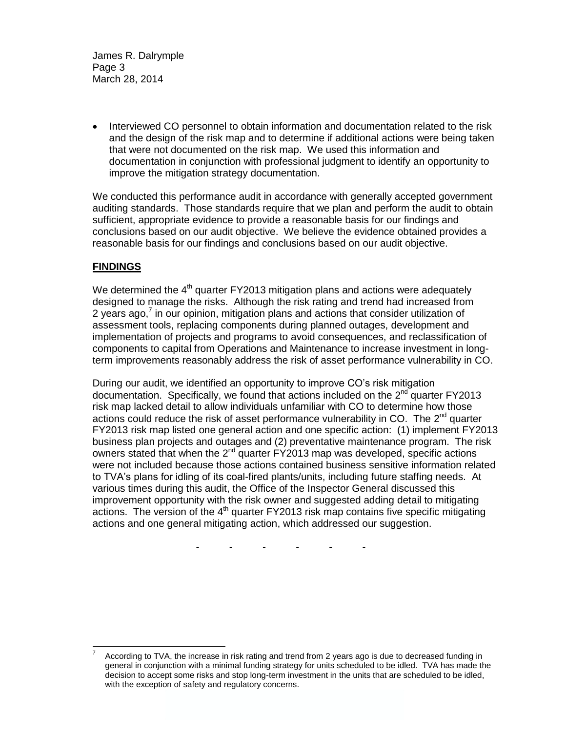James R. Dalrymple Page 3 March 28, 2014

• Interviewed CO personnel to obtain information and documentation related to the risk and the design of the risk map and to determine if additional actions were being taken that were not documented on the risk map. We used this information and documentation in conjunction with professional judgment to identify an opportunity to improve the mitigation strategy documentation.

We conducted this performance audit in accordance with generally accepted government auditing standards. Those standards require that we plan and perform the audit to obtain sufficient, appropriate evidence to provide a reasonable basis for our findings and conclusions based on our audit objective. We believe the evidence obtained provides a reasonable basis for our findings and conclusions based on our audit objective.

## **FINDINGS**

l

We determined the 4<sup>th</sup> quarter FY2013 mitigation plans and actions were adequately designed to manage the risks. Although the risk rating and trend had increased from 2 years ago,<sup>7</sup> in our opinion, mitigation plans and actions that consider utilization of assessment tools, replacing components during planned outages, development and implementation of projects and programs to avoid consequences, and reclassification of components to capital from Operations and Maintenance to increase investment in longterm improvements reasonably address the risk of asset performance vulnerability in CO.

During our audit, we identified an opportunity to improve CO's risk mitigation documentation. Specifically, we found that actions included on the  $2^{nd}$  quarter FY2013 risk map lacked detail to allow individuals unfamiliar with CO to determine how those actions could reduce the risk of asset performance vulnerability in CO. The 2<sup>nd</sup> quarter FY2013 risk map listed one general action and one specific action: (1) implement FY2013 business plan projects and outages and (2) preventative maintenance program. The risk owners stated that when the  $2<sup>nd</sup>$  quarter FY2013 map was developed, specific actions were not included because those actions contained business sensitive information related to TVA's plans for idling of its coal-fired plants/units, including future staffing needs. At various times during this audit, the Office of the Inspector General discussed this improvement opportunity with the risk owner and suggested adding detail to mitigating actions. The version of the  $4<sup>th</sup>$  quarter FY2013 risk map contains five specific mitigating actions and one general mitigating action, which addressed our suggestion.

- - - - - -

<sup>7</sup> According to TVA, the increase in risk rating and trend from 2 years ago is due to decreased funding in general in conjunction with a minimal funding strategy for units scheduled to be idled. TVA has made the decision to accept some risks and stop long-term investment in the units that are scheduled to be idled, with the exception of safety and regulatory concerns.